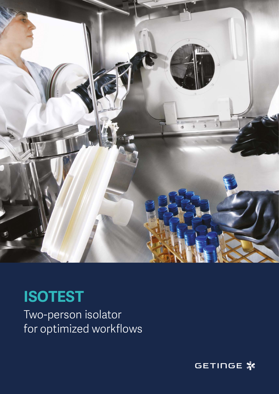

# **ISOTEST**

Two-person isolator for optimized workflows

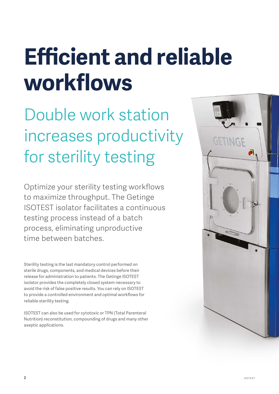# **Efficient and reliable workflows**

Double work station increases productivity for sterility testing

Optimize your sterility testing workflows to maximize throughput. The Getinge ISOTEST isolator facilitates a continuous testing process instead of a batch process, eliminating unproductive time between batches.

Sterility testing is the last mandatory control performed on sterile drugs, components, and medical devices before their release for administration to patients. The Getinge ISOTEST isolator provides the completely closed system necessary to avoid the risk of false positive results. You can rely on ISOTEST to provide a controlled environment and optimal workflows for reliable sterility testing.

ISOTEST can also be used for cytotoxic or TPN (Total Parenteral Nutrition) reconstitution, compounding of drugs and many other aseptic applications.

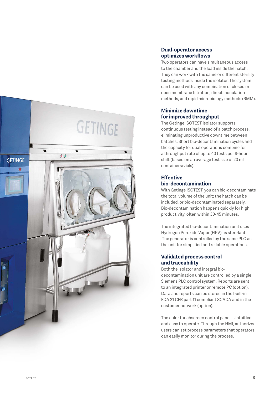

# **Dual-operator access optimizes workflows**

Two operators can have simultaneous access to the chamber and the load inside the hatch. They can work with the same or different sterility testing methods inside the isolator. The system can be used with any combination of closed or open membrane filtration, direct inoculation methods, and rapid microbiology methods (RMM).

# **Minimize downtime for improved throughput**

The Getinge ISOTEST isolator supports continuous testing instead of a batch process, eliminating unproductive downtime between batches. Short bio-decontamination cycles and the capacity for dual operations combine for a throughput rate of up to 40 tests per 8-hour shift (based on an average test size of 20 ml containers/vials).

# **Effective bio-decontamination**

With Getinge ISOTEST, you can bio-decontaminate the total volume of the unit; the hatch can be included, or bio-decontaminated separately. Bio-decontamination happens quickly for high productivity, often within 30-45 minutes.

The integrated bio-decontamination unit uses Hydrogen Peroxide Vapor (HPV) as steri-lant. The generator is controlled by the same PLC as the unit for simplified and reliable operations.

# **Validated process control and traceability**

Both the isolator and integral biodecontamination unit are controlled by a single Siemens PLC control system. Reports are sent to an integrated printer or remote PC (option). Data and reports can be stored in the built-in FDA 21 CFR part 11 compliant SCADA and in the customer network (option).

The color touchscreen control panel is intuitive and easy to operate. Through the HMI, authorized users can set process parameters that operators can easily monitor during the process.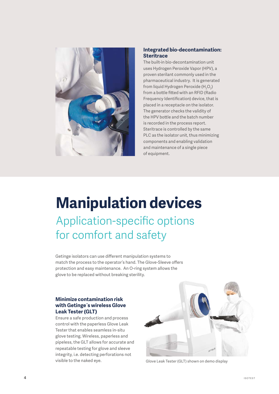

### **Integrated bio-decontamination: Steritrace**

The built-in bio-decontamination unit uses Hydrogen Peroxide Vapor (HPV), a proven sterilant commonly used in the pharmaceutical industry. It is generated from liquid Hydrogen Peroxide (H<sub>2</sub>O<sub>2</sub>) from a bottle fitted with an RFID (Radio Frequency Identification) device, that is placed in a receptacle on the isolator. The generator checks the validity of the HPV bottle and the batch number is recorded in the process report. Steritrace is controlled by the same PLC as the isolator unit, thus minimizing components and enabling validation and maintenance of a single piece of equipment.

# **Manipulation devices** Application-specific options for comfort and safety

Getinge isolators can use different manipulation systems to match the process to the operator's hand. The Glove-Sleeve offers protection and easy maintenance. An O-ring system allows the glove to be replaced without breaking sterility.

### **Minimize contamination risk with Getinge´s wireless Glove Leak Tester (GLT)**

Ensure a safe production and process control with the paperless Glove Leak Tester that enables seamless in-situ glove testing. Wireless, paperless and pipeless, the GLT allows for accurate and repeatable testing for glove and sleeve integrity, i.e. detecting perforations not visible to the naked eye.



Glove Leak Tester (GLT) shown on demo display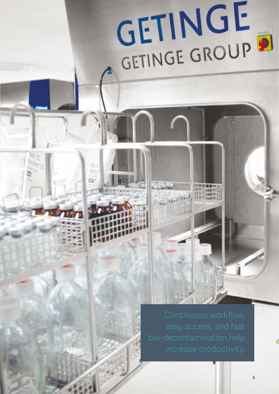# GETINGE GROUP

ISOTEST

Stri Ses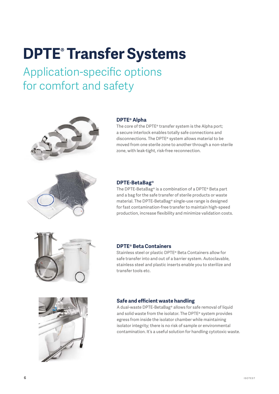# **DPTE® Transfer Systems**

Application-specific options for comfort and safety



# **DPTE® Alpha**

The core of the DPTE® transfer system is the Alpha port; a secure interlock enables totally safe connections and disconnections. The DPTE® system allows material to be moved from one sterile zone to another through a non-sterile zone, with leak-tight, risk-free reconnection.



### **DPTE-BetaBag®**

The DPTE-BetaBag® is a combination of a DPTE® Beta part and a bag for the safe transfer of sterile products or waste material. The DPTE-BetaBag® single-use range is designed for fast contamination-free transfer to maintain high-speed production, increase flexibility and minimize validation costs.



### **DPTE® Beta Containers**

Stainless steel or plastic DPTE® Beta Containers allow for safe transfer into and out of a barrier system. Autoclavable, stainless steel and plastic inserts enable you to sterilize and transfer tools etc.



### **Safe and efficient waste handling**

A dual-waste DPTE-BetaBag® allows for safe removal of liquid and solid waste from the isolator. The DPTE® system provides egress from inside the isolator chamber while maintaining isolator integrity; there is no risk of sample or environmental contamination. It's a useful solution for handling cytotoxic waste.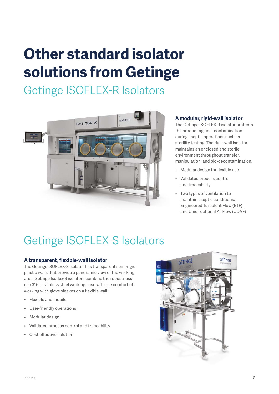# **Other standard isolator solutions from Getinge**

Getinge ISOFLEX-R Isolators



# **A modular, rigid-wall isolator**

The Getinge ISOFLEX-R isolator protects the product against contamination during aseptic operations such as sterility testing. The rigid-wall isolator maintains an enclosed and sterile environment throughout transfer, manipulation, and bio-decontamination.

- Modular design for flexible use
- Validated process control and traceability
- Two types of ventilation to maintain aseptic conditions: Engineered Turbulent Flow (ETF) and Unidirectional AirFlow (UDAF)

# Getinge ISOFLEX-S Isolators

# **A transparent, flexible-wall isolator**

The Getinge ISOFLEX-S isolator has transparent semi-rigid plastic walls that provide a panoramic view of the working area. Getinge Isoflex-S isolators combine the robustness of a 316L stainless steel working base with the comfort of working with glove sleeves on a flexible wall.

- Flexible and mobile
- User-friendly operations
- Modular design
- Validated process control and traceability
- Cost effective solution